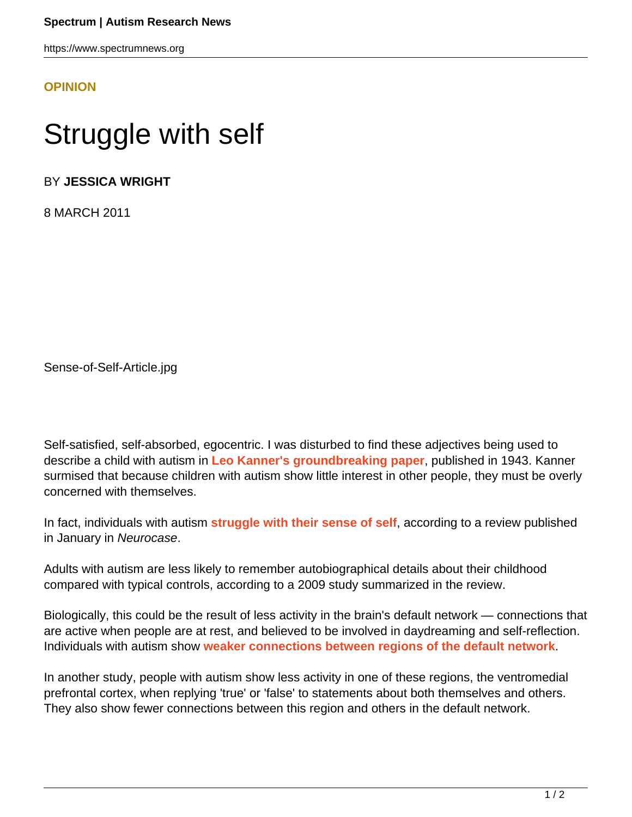https://www.spectrumnews.org

## **[OPINION](HTTPS://WWW.SPECTRUMNEWS.ORG/OPINION/)**

## Struggle with self

BY **JESSICA WRIGHT**

8 MARCH 2011

Sense-of-Self-Article.jpg

Self-satisfied, self-absorbed, egocentric. I was disturbed to find these adjectives being used to describe a child with autism in **[Leo Kanner's groundbreaking paper](https://www.spectrumnews.org/classic-paper-reviews/2007/leo-kanners-1943-paper-on-autism-commentary-by-gerald-fischbach)**, published in 1943. Kanner surmised that because children with autism show little interest in other people, they must be overly concerned with themselves.

In fact, individuals with autism **[struggle with their sense of self](http://www.ncbi.nlm.nih.gov/pubmed/21207316)**, according to a review published in January in Neurocase.

Adults with autism are less likely to remember autobiographical details about their childhood compared with typical controls, according to a 2009 study summarized in the review.

Biologically, this could be the result of less activity in the brain's default network — connections that are active when people are at rest, and believed to be involved in daydreaming and self-reflection. Individuals with autism show **[weaker connections between regions of the default network](https://www.spectrumnews.org/news/2010/daydreaming-circuit-implicated-in-autism-attention-deficit)**.

In another study, people with autism show less activity in one of these regions, the ventromedial prefrontal cortex, when replying 'true' or 'false' to statements about both themselves and others. They also show fewer connections between this region and others in the default network.